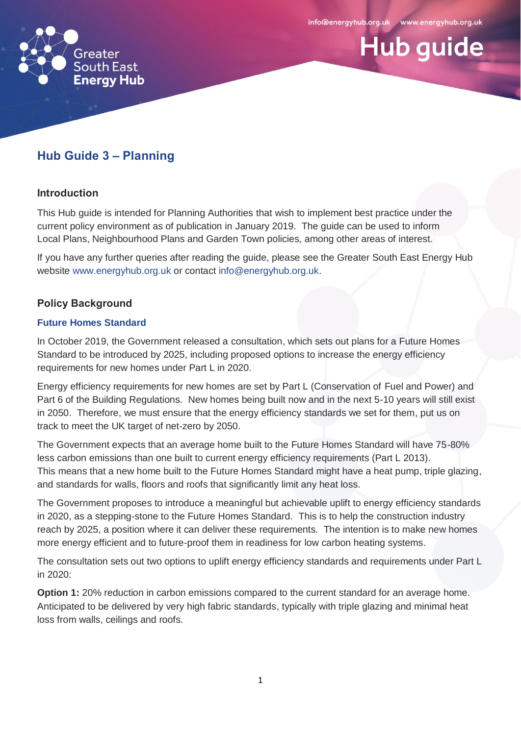**Hub guide** 



# **Hub Guide 3 – Planning**

#### **Introduction**

This Hub guide is intended for Planning Authorities that wish to implement best practice under the current policy environment as of publication in January 2019. The guide can be used to inform Local Plans, Neighbourhood Plans and Garden Town policies, among other areas of interest.

If you have any further queries after reading the guide, please see the Greater South East Energy Hub website [www.energyhub.org.uk](http://www.energyhub.org.uk/) or contact [info@energyhub.org.uk.](mailto:info@energyhub.org.uk)

## **Policy Background**

#### **Future Homes Standard**

In October 2019, the Government released a consultation, which sets out plans for a Future Homes Standard to be introduced by 2025, including proposed options to increase the energy efficiency requirements for new homes under Part L in 2020.

Energy efficiency requirements for new homes are set by Part L (Conservation of Fuel and Power) and Part 6 of the Building Regulations. New homes being built now and in the next 5-10 years will still exist in 2050. Therefore, we must ensure that the energy efficiency standards we set for them, put us on track to meet the UK target of net-zero by 2050.

The Government expects that an average home built to the Future Homes Standard will have 75-80% less carbon emissions than one built to current energy efficiency requirements (Part L 2013). This means that a new home built to the Future Homes Standard might have a heat pump, triple glazing, and standards for walls, floors and roofs that significantly limit any heat loss.

The Government proposes to introduce a meaningful but achievable uplift to energy efficiency standards in 2020, as a stepping-stone to the Future Homes Standard. This is to help the construction industry reach by 2025, a position where it can deliver these requirements. The intention is to make new homes more energy efficient and to future-proof them in readiness for low carbon heating systems.

The consultation sets out two options to uplift energy efficiency standards and requirements under Part L in 2020:

**Option 1:** 20% reduction in carbon emissions compared to the current standard for an average home. Anticipated to be delivered by very high fabric standards, typically with triple glazing and minimal heat loss from walls, ceilings and roofs.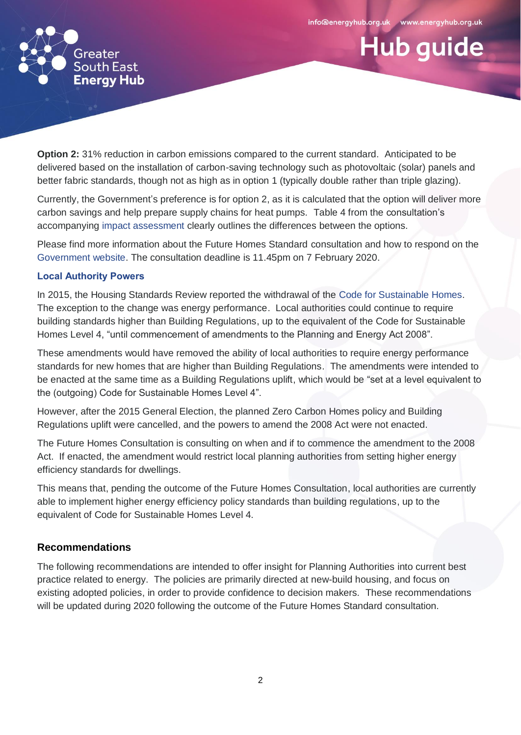**Hub guide** 



**Option 2:** 31% reduction in carbon emissions compared to the current standard. Anticipated to be delivered based on the installation of carbon-saving technology such as photovoltaic (solar) panels and better fabric standards, though not as high as in option 1 (typically double rather than triple glazing).

Currently, the Government's preference is for option 2, as it is calculated that the option will deliver more carbon savings and help prepare supply chains for heat pumps. Table 4 from the consultation's accompanying [impact assessment](https://www.gov.uk/government/publications/the-future-homes-standard-consultation-impact-assessment) clearly outlines the differences between the options.

Please find more information about the Future Homes Standard consultation and how to respond on the [Government website.](https://www.gov.uk/government/consultations/the-future-homes-standard-changes-to-part-l-and-part-f-of-the-building-regulations-for-new-dwellings) The consultation deadline is 11.45pm on 7 February 2020.

#### **Local Authority Powers**

In 2015, the Housing Standards Review reported the withdrawal of the [Code for Sustainable Homes.](https://assets.publishing.service.gov.uk/government/uploads/system/uploads/attachment_data/file/5976/code_for_sustainable_homes_techguide.pdf) The exception to the change was energy performance. Local authorities could continue to require building standards higher than Building Regulations, up to the equivalent of the Code for Sustainable Homes Level 4, "until commencement of amendments to the Planning and Energy Act 2008".

These amendments would have removed the ability of local authorities to require energy performance standards for new homes that are higher than Building Regulations. The amendments were intended to be enacted at the same time as a Building Regulations uplift, which would be "set at a level equivalent to the (outgoing) Code for Sustainable Homes Level 4".

However, after the 2015 General Election, the planned Zero Carbon Homes policy and Building Regulations uplift were cancelled, and the powers to amend the 2008 Act were not enacted.

The Future Homes Consultation is consulting on when and if to commence the amendment to the 2008 Act. If enacted, the amendment would restrict local planning authorities from setting higher energy efficiency standards for dwellings.

This means that, pending the outcome of the Future Homes Consultation, local authorities are currently able to implement higher energy efficiency policy standards than building regulations, up to the equivalent of Code for Sustainable Homes Level 4.

## **Recommendations**

The following recommendations are intended to offer insight for Planning Authorities into current best practice related to energy. The policies are primarily directed at new-build housing, and focus on existing adopted policies, in order to provide confidence to decision makers. These recommendations will be updated during 2020 following the outcome of the Future Homes Standard consultation.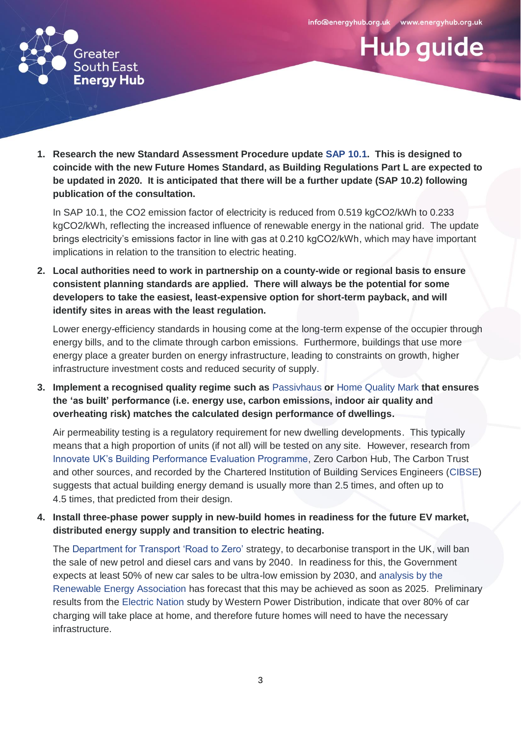**Hub guide** 



**1. Research the new Standard Assessment Procedure update [SAP 10.1.](https://www.bregroup.com/sap/sap10/) This is designed to coincide with the new Future Homes Standard, as Building Regulations Part L are expected to be updated in 2020. It is anticipated that there will be a further update (SAP 10.2) following publication of the consultation.** 

In SAP 10.1, the CO2 emission factor of electricity is reduced from 0.519 kgCO2/kWh to 0.233 kgCO2/kWh, reflecting the increased influence of renewable energy in the national grid. The update brings electricity's emissions factor in line with gas at 0.210 kgCO2/kWh, which may have important implications in relation to the transition to electric heating.

**2. Local authorities need to work in partnership on a county-wide or regional basis to ensure consistent planning standards are applied. There will always be the potential for some developers to take the easiest, least-expensive option for short-term payback, and will identify sites in areas with the least regulation.** 

Lower energy-efficiency standards in housing come at the long-term expense of the occupier through energy bills, and to the climate through carbon emissions. Furthermore, buildings that use more energy place a greater burden on energy infrastructure, leading to constraints on growth, higher infrastructure investment costs and reduced security of supply.

**3. Implement a recognised quality regime such as** [Passivhaus](http://www.passivhaustrust.org.uk/) **or** [Home Quality Mark](https://www.homequalitymark.com/) **that ensures the 'as built' performance (i.e. energy use, carbon emissions, indoor air quality and overheating risk) matches the calculated design performance of dwellings.** 

Air permeability testing is a regulatory requirement for new dwelling developments. This typically means that a high proportion of units (if not all) will be tested on any site. However, research from [Innovate UK's Building Performance Evaluation Programme,](https://assets.publishing.service.gov.uk/government/uploads/system/uploads/attachment_data/file/497758/Domestic_Building_Performance_full_report_2016.pdf) Zero Carbon Hub, The Carbon Trust and other sources, and recorded by the Chartered Institution of Building Services Engineers [\(CIBSE\)](https://www.cibse.org/getmedia/55cf31bd-d9eb-4ffa-b2e2-e567327ee45f/cb11.pdf.aspx) suggests that actual building energy demand is usually more than 2.5 times, and often up to 4.5 times, that predicted from their design.

**4. Install three-phase power supply in new-build homes in readiness for the future EV market, distributed energy supply and transition to electric heating.** 

The [Department for Transport 'Road to Zero'](https://assets.publishing.service.gov.uk/government/uploads/system/uploads/attachment_data/file/739460/road-to-zero.pdf) strategy, to decarbonise transport in the UK, will ban the sale of new petrol and diesel cars and vans by 2040. In readiness for this, the Government expects at least 50% of new car sales to be ultra-low emission by 2030, and [analysis by the](http://www.r-e-a.net/upload/rea_ev_position_paper_september_2017_db_final_final.pdf)  [Renewable Energy Association](http://www.r-e-a.net/upload/rea_ev_position_paper_september_2017_db_final_final.pdf) has forecast that this may be achieved as soon as 2025. Preliminary results from the [Electric Nation](http://www.electricnation.org.uk/wp-content/uploads/2018/10/Electric-Nation-What-weve-learnt-so-far-Oct18.pdf) study by Western Power Distribution, indicate that over 80% of car charging will take place at home, and therefore future homes will need to have the necessary infrastructure.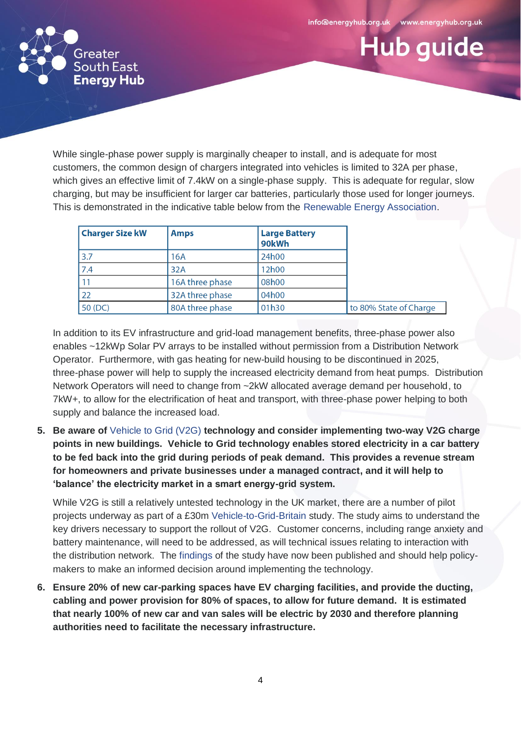**Hub guide** 



While single-phase power supply is marginally cheaper to install, and is adequate for most customers, the common design of chargers integrated into vehicles is limited to 32A per phase, which gives an effective limit of 7.4kW on a single-phase supply. This is adequate for regular, slow charging, but may be insufficient for larger car batteries, particularly those used for longer journeys. This is demonstrated in the indicative table below from the [Renewable Energy Association.](http://www.r-e-a.net/upload/rea_ev_three_phase_report_final-pdf-01-08-18-hi-res.pdf)

| <b>Charger Size kW</b> | <b>Amps</b>     | <b>Large Battery</b><br>90kWh |                        |
|------------------------|-----------------|-------------------------------|------------------------|
| 3.7                    | 16A             | 24h00                         |                        |
| 7.4                    | 32A             | 12h00                         |                        |
| 11                     | 16A three phase | 08h00                         |                        |
| 22                     | 32A three phase | 04h00                         |                        |
| 50 (DC)                | 80A three phase | 01h30                         | to 80% State of Charge |

In addition to its EV infrastructure and grid-load management benefits, three-phase power also enables ~12kWp Solar PV arrays to be installed without permission from a Distribution Network Operator. Furthermore, with gas heating for new-build housing to be discontinued in 2025, three-phase power will help to supply the increased electricity demand from heat pumps. Distribution Network Operators will need to change from ~2kW allocated average demand per household, to 7kW+, to allow for the electrification of heat and transport, with three-phase power helping to both supply and balance the increased load.

**5. Be aware of** [Vehicle to Grid \(V2G\)](https://www.ovoenergy.com/guides/electric-cars/vehicle-to-grid-technology.html) **technology and consider implementing two-way V2G charge points in new buildings. Vehicle to Grid technology enables stored electricity in a car battery to be fed back into the grid during periods of peak demand. This provides a revenue stream for homeowners and private businesses under a managed contract, and it will help to 'balance' the electricity market in a smart energy-grid system.** 

While V2G is still a relatively untested technology in the UK market, there are a number of pilot projects underway as part of a £30m [Vehicle-to-Grid-Britain](https://es.catapult.org.uk/impact/projects/vehicle-to-grid-britain/) study. The study aims to understand the key drivers necessary to support the rollout of V2G. Customer concerns, including range anxiety and battery maintenance, will need to be addressed, as will technical issues relating to interaction with the distribution network. The [findings](https://es.catapult.org.uk/case-studies/vehicle-to-grid-britain/) of the study have now been published and should help policymakers to make an informed decision around implementing the technology.

**6. Ensure 20% of new car-parking spaces have EV charging facilities, and provide the ducting, cabling and power provision for 80% of spaces, to allow for future demand. It is estimated that nearly 100% of new car and van sales will be electric by 2030 and therefore planning authorities need to facilitate the necessary infrastructure.**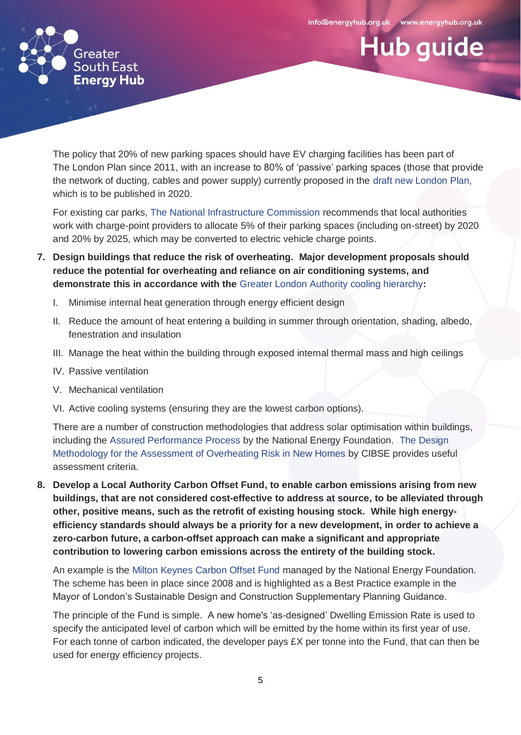**Hub guide** 



The policy that 20% of new parking spaces should have EV charging facilities has been part of The London Plan since 2011, with an increase to 80% of 'passive' parking spaces (those that provide the network of ducting, cables and power supply) currently proposed in the draft [new London Plan,](https://www.london.gov.uk/what-we-do/planning/london-plan/new-london-plan) which is to be published in 2020.

For existing car parks, [The National Infrastructure Commission](https://www.nic.org.uk/assessment/national-infrastructure-assessment/revolutionising-road-transport/) recommends that local authorities work with charge-point providers to allocate 5% of their parking spaces (including on-street) by 2020 and 20% by 2025, which may be converted to electric vehicle charge points.

- **7. Design buildings that reduce the risk of overheating. Major development proposals should reduce the potential for overheating and reliance on air conditioning systems, and demonstrate this in accordance with the** [Greater London Authority cooling hierarchy](https://www.london.gov.uk/what-we-do/planning/london-plan/current-london-plan/london-plan-chapter-five-londons-response/poli-8)**:**
	- I. Minimise internal heat generation through energy efficient design
	- II. Reduce the amount of heat entering a building in summer through orientation, shading, albedo, fenestration and insulation
	- III. Manage the heat within the building through exposed internal thermal mass and high ceilings
	- IV. Passive ventilation
	- V. Mechanical ventilation
	- VI. Active cooling systems (ensuring they are the lowest carbon options).

There are a number of construction methodologies that address solar optimisation within buildings, including the [Assured Performance Process](http://www.assuredperformanceprocess.org.uk/) by the National Energy Foundation. The [Design](https://www.cibse.org/knowledge/knowledge-items/detail?id=a0q0O00000DVrTdQAL)  [Methodology for the Assessment of Overheating Risk in New Homes](https://www.cibse.org/knowledge/knowledge-items/detail?id=a0q0O00000DVrTdQAL) by CIBSE provides useful assessment criteria.

**8. Develop a Local Authority Carbon Offset Fund, to enable carbon emissions arising from new buildings, that are not considered cost-effective to address at source, to be alleviated through other, positive means, such as the retrofit of existing housing stock. While high energyefficiency standards should always be a priority for a new development, in order to achieve a zero-carbon future, a carbon-offset approach can make a significant and appropriate contribution to lowering carbon emissions across the entirety of the building stock.** 

An example is the [Milton Keynes Carbon Offset Fund](http://www.nef.org.uk/success-stories/case-studies/milton-keynes-council-milton-keynes-carbon-offset-fund) managed by the National Energy Foundation. The scheme has been in place since 2008 and is highlighted as a Best Practice example in the Mayor of London's Sustainable Design and Construction Supplementary Planning Guidance.

The principle of the Fund is simple. A new home's 'as-designed' Dwelling Emission Rate is used to specify the anticipated level of carbon which will be emitted by the home within its first year of use. For each tonne of carbon indicated, the developer pays  $EX$  per tonne into the Fund, that can then be used for energy efficiency projects.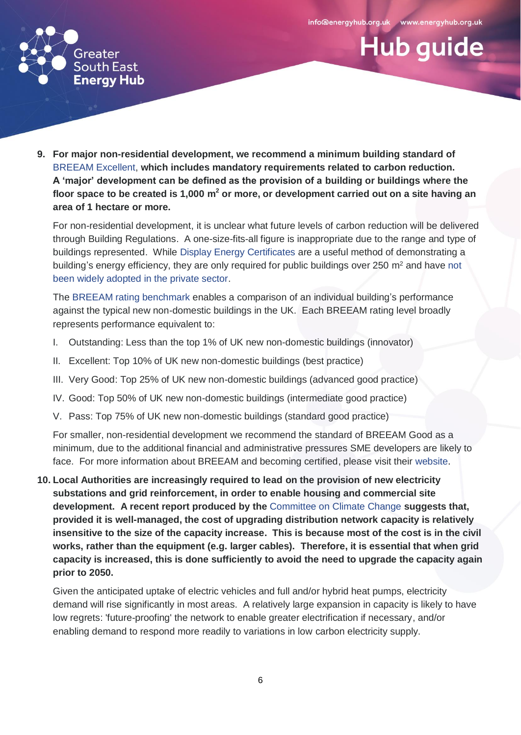**Hub guide** 



**9. For major non-residential development, we recommend a minimum building standard of**  [BREEAM Excellent,](https://www.breeam.com/discover/how-breeam-certification-works/) **which includes mandatory requirements related to carbon reduction. A 'major' development can be defined as the provision of a building or buildings where the floor space to be created is 1,000 m<sup>2</sup> or more, or development carried out on a site having an area of 1 hectare or more.**

For non-residential development, it is unclear what future levels of carbon reduction will be delivered through Building Regulations. A one-size-fits-all figure is inappropriate due to the range and type of buildings represented. While [Display Energy Certificates](https://assets.publishing.service.gov.uk/government/uploads/system/uploads/attachment_data/file/452481/DEC_Guidance__rev_July_2015_.pdf) are a useful method of demonstrating a building's energy efficiency, they are only required for public buildings over 250 m<sup>2</sup> and have not [been widely adopted in the private sector.](https://assets.publishing.service.gov.uk/government/uploads/system/uploads/attachment_data/file/211054/D13_703672__130605_Display_Energy_Certificates_-_Report_V8_FINAL.pdf)

The [BREEAM rating benchmark](https://www.breeam.com/BREEAM2011SchemeDocument/Content/03_ScoringRating/scoring.htm) enables a comparison of an individual building's performance against the typical new non-domestic buildings in the UK. Each BREEAM rating level broadly represents performance equivalent to:

- I. Outstanding: Less than the top 1% of UK new non-domestic buildings (innovator)
- II. Excellent: Top 10% of UK new non-domestic buildings (best practice)
- III. Very Good: Top 25% of UK new non-domestic buildings (advanced good practice)
- IV. Good: Top 50% of UK new non-domestic buildings (intermediate good practice)
- V. Pass: Top 75% of UK new non-domestic buildings (standard good practice)

For smaller, non-residential development we recommend the standard of BREEAM Good as a minimum, due to the additional financial and administrative pressures SME developers are likely to face. For more information about BREEAM and becoming certified, please visit their [website.](https://www.breeam.com/)

**10. Local Authorities are increasingly required to lead on the provision of new electricity substations and grid reinforcement, in order to enable housing and commercial site development. A recent report produced by the** [Committee on Climate Change](https://www.theccc.org.uk/wp-content/uploads/2019/05/Net-Zero-Technical-report-CCC.pdf) **suggests that, provided it is well-managed, the cost of upgrading distribution network capacity is relatively insensitive to the size of the capacity increase. This is because most of the cost is in the civil works, rather than the equipment (e.g. larger cables). Therefore, it is essential that when grid capacity is increased, this is done sufficiently to avoid the need to upgrade the capacity again prior to 2050.**

Given the anticipated uptake of electric vehicles and full and/or hybrid heat pumps, electricity demand will rise significantly in most areas. A relatively large expansion in capacity is likely to have low regrets: 'future-proofing' the network to enable greater electrification if necessary, and/or enabling demand to respond more readily to variations in low carbon electricity supply.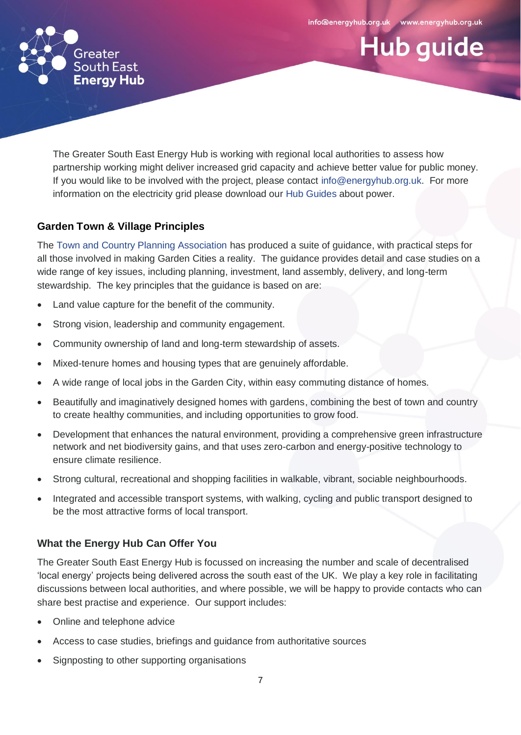**Hub guide** 



The Greater South East Energy Hub is working with regional local authorities to assess how partnership working might deliver increased grid capacity and achieve better value for public money. If you would like to be involved with the project, please contact [info@energyhub.org.uk.](mailto:help@energyhub.org.uk) For more information on the electricity grid please download our [Hub Guides](https://www.energyhub.org.uk/resources/hub-guides/) about power.

## **Garden Town & Village Principles**

The [Town and Country Planning Association](https://www.tcpa.org.uk/guidance-for-delivering-new-garden-cities) has produced a suite of guidance, with practical steps for all those involved in making Garden Cities a reality. The guidance provides detail and case studies on a wide range of key issues, including planning, investment, land assembly, delivery, and long-term stewardship. The key principles that the guidance is based on are:

- Land value capture for the benefit of the community.
- Strong vision, leadership and community engagement.
- Community ownership of land and long-term stewardship of assets.
- Mixed-tenure homes and housing types that are genuinely affordable.
- A wide range of local jobs in the Garden City, within easy commuting distance of homes.
- Beautifully and imaginatively designed homes with gardens, combining the best of town and country to create healthy communities, and including opportunities to grow food.
- Development that enhances the natural environment, providing a comprehensive green infrastructure network and net biodiversity gains, and that uses zero-carbon and energy-positive technology to ensure climate resilience.
- Strong cultural, recreational and shopping facilities in walkable, vibrant, sociable neighbourhoods.
- Integrated and accessible transport systems, with walking, cycling and public transport designed to be the most attractive forms of local transport.

## **What the Energy Hub Can Offer You**

The Greater South East Energy Hub is focussed on increasing the number and scale of decentralised 'local energy' projects being delivered across the south east of the UK. We play a key role in facilitating discussions between local authorities, and where possible, we will be happy to provide contacts who can share best practise and experience. Our support includes:

- Online and telephone advice
- Access to case studies, briefings and guidance from authoritative sources
- Signposting to other supporting organisations